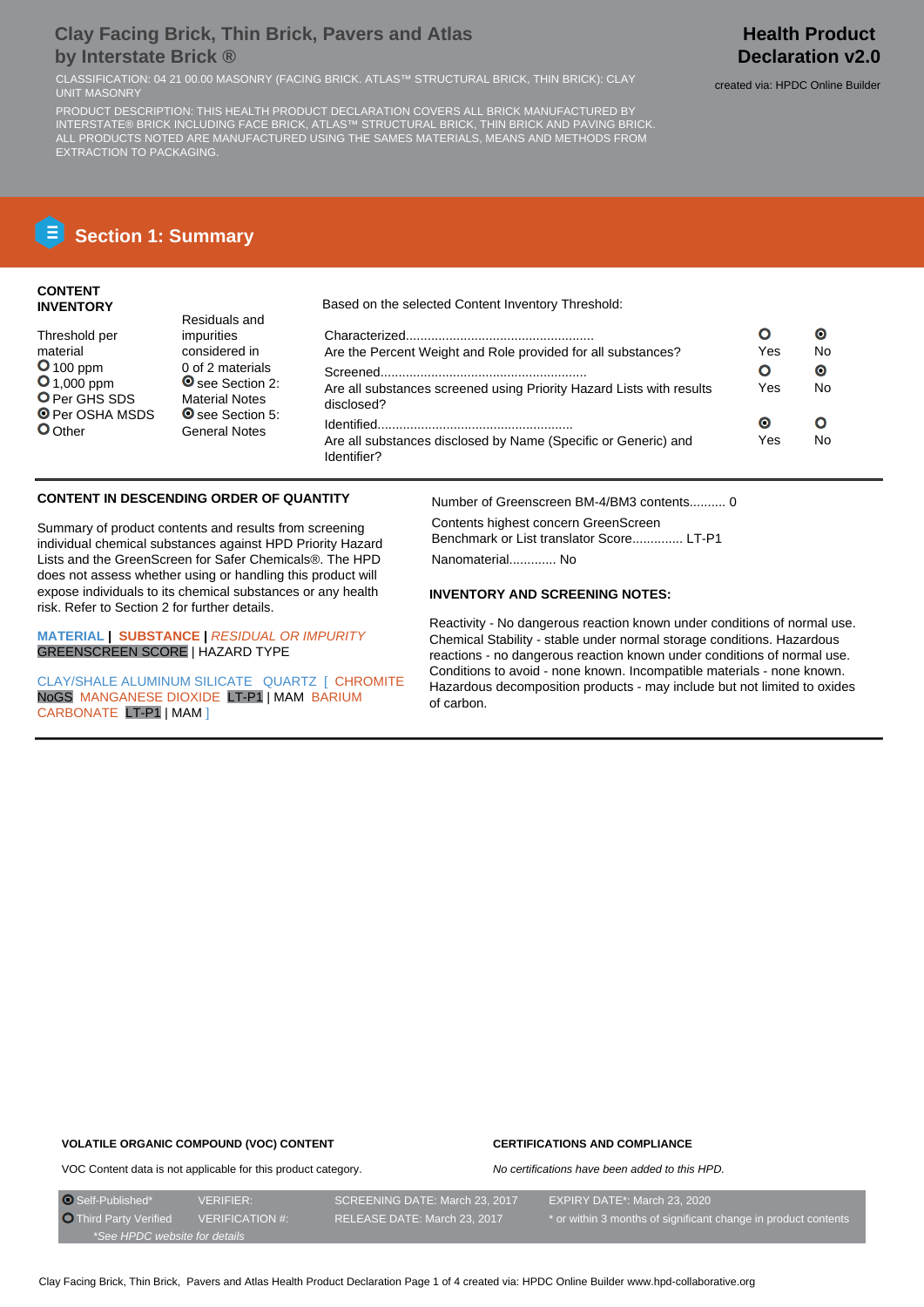## **Clay Facing Brick, Thin Brick, Pavers and Atlas by Interstate Brick ®**

CLASSIFICATION: 04 21 00.00 MASONRY (FACING BRICK. ATLAS™ STRUCTURAL BRICK, THIN BRICK): CLAY reated via: HPDC Online Builder<br>UNIT MASONRY

PRODUCT DESCRIPTION: THIS HEALTH PRODUCT DECLARATION COVERS ALL BRICK MANUFACTURED BY INTERSTATE® BRICK INCLUDING FACE BRICK, ATLAS™ STRUCTURAL BRICK, THIN BRICK AND PAVING BRICK. ALL PRODUCTS NOTED ARE MANUFACTURED USING THE SAMES MATERIALS, MEANS AND METHODS FROM EXTRACTION TO PACKAGING.

## **Health Product Declaration v2.0**

# **E** Section 1: Summary

## **CONTENT INVENTORY**

## Based on the selected Content Inventory Threshold:

|                                                                                    |           | О  |
|------------------------------------------------------------------------------------|-----------|----|
| Are the Percent Weight and Role provided for all substances?                       | Yes       | No |
|                                                                                    |           | Θ  |
| Are all substances screened using Priority Hazard Lists with results<br>disclosed? | Yes       | No |
|                                                                                    | $\bullet$ |    |
| Are all substances disclosed by Name (Specific or Generic) and<br>Identifier?      | Yes       | No |

## **CONTENT IN DESCENDING ORDER OF QUANTITY**

Summary of product contents and results from screening individual chemical substances against HPD Priority Hazard Lists and the GreenScreen for Safer Chemicals®. The HPD does not assess whether using or handling this product will expose individuals to its chemical substances or any health risk. Refer to Section 2 for further details.

Residuals and impurities considered in 0 of 2 materials O see Section 2: Material Notes O see Section 5: General Notes

**MATERIAL | SUBSTANCE |** RESIDUAL OR IMPURITY GREENSCREEN SCORE | HAZARD TYPE

CLAY/SHALE ALUMINUM SILICATE QUARTZ I CHROMITE NoGS MANGANESE DIOXIDE LT-P1 | MAM BARIUM CARBONATE LT-P1 | MAM ]

Number of Greenscreen BM-4/BM3 contents.......... 0

Contents highest concern GreenScreen Benchmark or List translator Score.............. LT-P1

Nanomaterial............. No

## **INVENTORY AND SCREENING NOTES:**

Reactivity - No dangerous reaction known under conditions of normal use. Chemical Stability - stable under normal storage conditions. Hazardous reactions - no dangerous reaction known under conditions of normal use. Conditions to avoid - none known. Incompatible materials - none known. Hazardous decomposition products - may include but not limited to oxides of carbon.

#### **VOLATILE ORGANIC COMPOUND (VOC) CONTENT**

## **CERTIFICATIONS AND COMPLIANCE**

No certifications have been added to this HPD.

VOC Content data is not applicable for this product category.

 Self-Published\* VERIFIER: SCREENING DATE: March 23, 2017 EXPIRY DATE\*: March 23, 2020 O Third Party Verified VERIFICATION #: RELEASE DATE: March 23, 2017 \* or within 3 months of significant change in product contents \*See HPDC website for details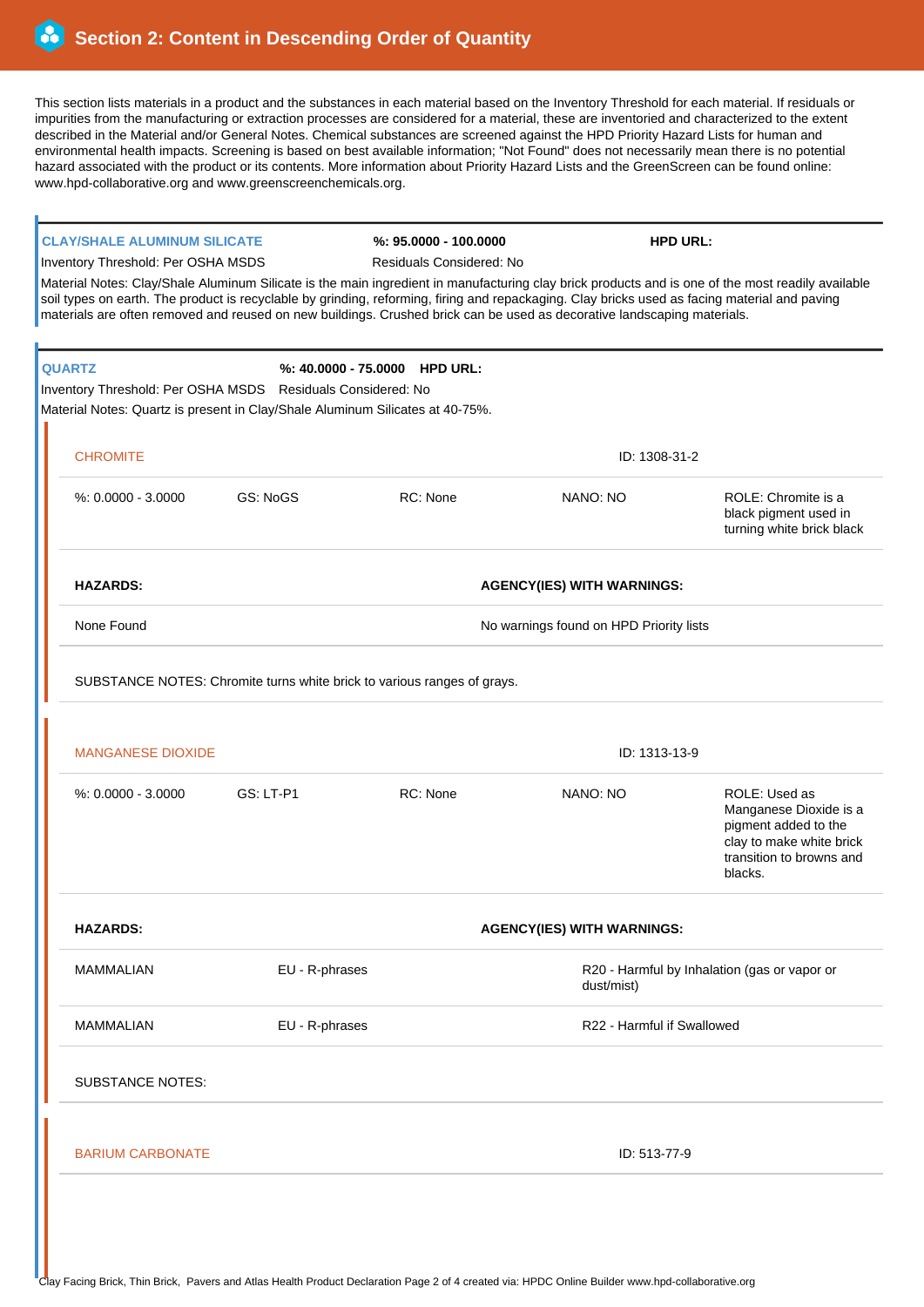This section lists materials in a product and the substances in each material based on the Inventory Threshold for each material. If residuals or impurities from the manufacturing or extraction processes are considered for a material, these are inventoried and characterized to the extent described in the Material and/or General Notes. Chemical substances are screened against the HPD Priority Hazard Lists for human and environmental health impacts. Screening is based on best available information; "Not Found" does not necessarily mean there is no potential hazard associated with the product or its contents. More information about Priority Hazard Lists and the GreenScreen can be found online: www.hpd-collaborative.org and www.greenscreenchemicals.org.

## **CLAY/SHALE ALUMINUM SILICATE %: 95.0000 - 100.0000 HPD URL:**

Inventory Threshold: Per OSHA MSDS Residuals Considered: No

Material Notes: Clay/Shale Aluminum Silicate is the main ingredient in manufacturing clay brick products and is one of the most readily available soil types on earth. The product is recyclable by grinding, reforming, firing and repackaging. Clay bricks used as facing material and paving materials are often removed and reused on new buildings. Crushed brick can be used as decorative landscaping materials.

|                                    | <b>QUARTZ</b><br>Inventory Threshold: Per OSHA MSDS Residuals Considered: No<br>Material Notes: Quartz is present in Clay/Shale Aluminum Silicates at 40-75%. |                                                                         | %: 40.0000 - 75.0000 HPD URL: |                                         |                                                                                                                                    |  |
|------------------------------------|---------------------------------------------------------------------------------------------------------------------------------------------------------------|-------------------------------------------------------------------------|-------------------------------|-----------------------------------------|------------------------------------------------------------------------------------------------------------------------------------|--|
|                                    | <b>CHROMITE</b>                                                                                                                                               |                                                                         | ID: 1308-31-2                 |                                         |                                                                                                                                    |  |
|                                    | %: 0.0000 - 3.0000                                                                                                                                            | <b>GS: NoGS</b>                                                         | RC: None                      | NANO: NO                                | ROLE: Chromite is a<br>black pigment used in<br>turning white brick black                                                          |  |
|                                    | <b>HAZARDS:</b>                                                                                                                                               | <b>AGENCY(IES) WITH WARNINGS:</b>                                       |                               |                                         |                                                                                                                                    |  |
|                                    | None Found                                                                                                                                                    |                                                                         |                               | No warnings found on HPD Priority lists |                                                                                                                                    |  |
|                                    |                                                                                                                                                               | SUBSTANCE NOTES: Chromite turns white brick to various ranges of grays. |                               |                                         |                                                                                                                                    |  |
|                                    | <b>MANGANESE DIOXIDE</b>                                                                                                                                      |                                                                         |                               | ID: 1313-13-9                           |                                                                                                                                    |  |
|                                    | %: 0.0000 - 3.0000                                                                                                                                            | GS: LT-P1                                                               | RC: None                      | NANO: NO                                | ROLE: Used as<br>Manganese Dioxide is a<br>pigment added to the<br>clay to make white brick<br>transition to browns and<br>blacks. |  |
|                                    | <b>HAZARDS:</b>                                                                                                                                               | <b>AGENCY(IES) WITH WARNINGS:</b>                                       |                               |                                         |                                                                                                                                    |  |
|                                    | <b>MAMMALIAN</b>                                                                                                                                              | EU - R-phrases                                                          |                               | dust/mist)                              | R20 - Harmful by Inhalation (gas or vapor or                                                                                       |  |
| <b>MAMMALIAN</b><br>EU - R-phrases |                                                                                                                                                               |                                                                         | R22 - Harmful if Swallowed    |                                         |                                                                                                                                    |  |
|                                    | <b>SUBSTANCE NOTES:</b>                                                                                                                                       |                                                                         |                               |                                         |                                                                                                                                    |  |
|                                    | <b>BARIUM CARBONATE</b>                                                                                                                                       |                                                                         |                               | ID: 513-77-9                            |                                                                                                                                    |  |
|                                    |                                                                                                                                                               |                                                                         |                               |                                         |                                                                                                                                    |  |
|                                    |                                                                                                                                                               |                                                                         |                               |                                         |                                                                                                                                    |  |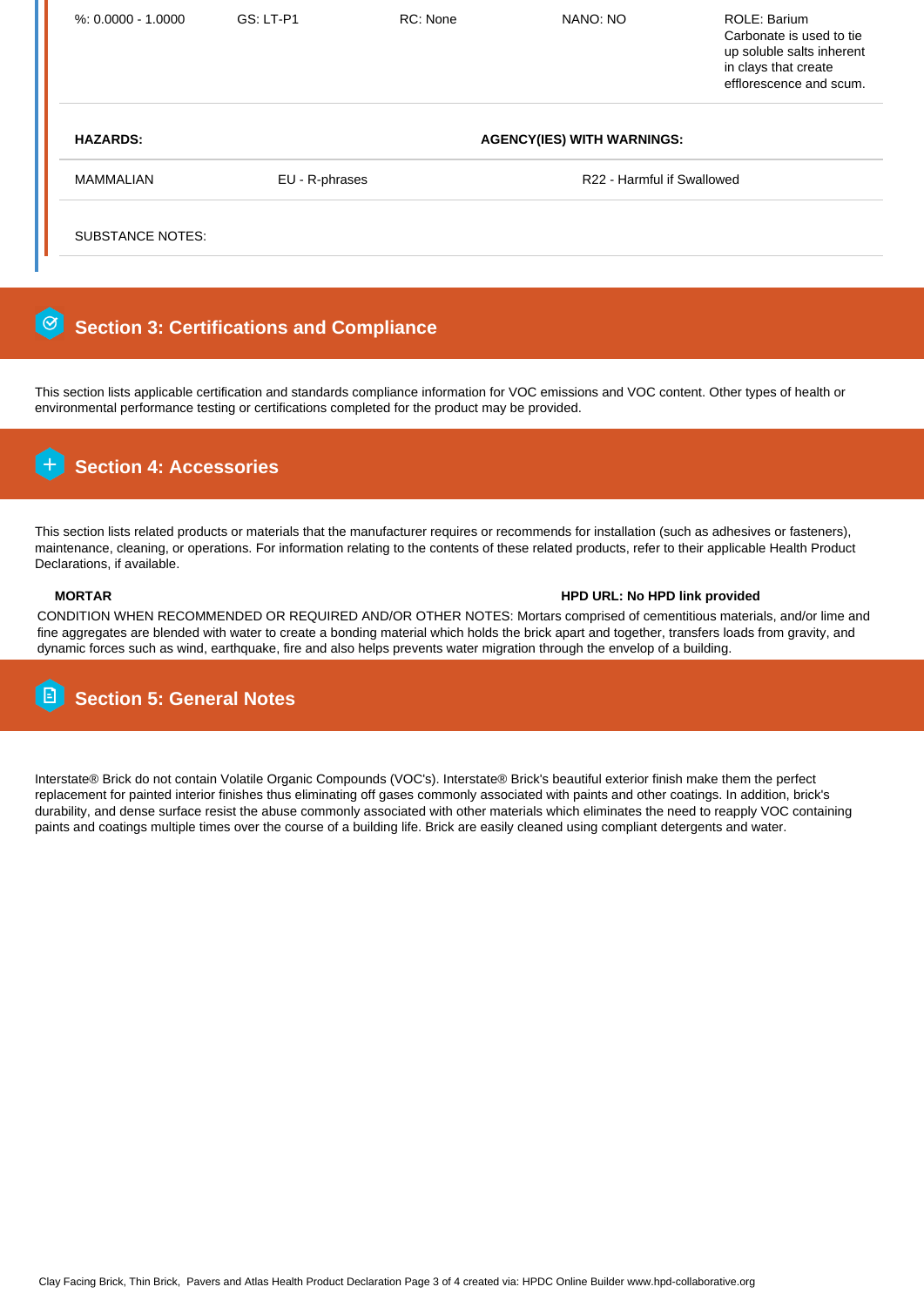| $% 0.0000 - 1.0000$         | <b>GS: LT-P1</b>                  | RC: None | NANO: NO                   | ROLE: Barium<br>Carbonate is used to tie<br>up soluble salts inherent<br>in clays that create<br>efflorescence and scum. |  |
|-----------------------------|-----------------------------------|----------|----------------------------|--------------------------------------------------------------------------------------------------------------------------|--|
| <b>HAZARDS:</b>             | <b>AGENCY(IES) WITH WARNINGS:</b> |          |                            |                                                                                                                          |  |
| MAMMALIAN<br>EU - R-phrases |                                   |          | R22 - Harmful if Swallowed |                                                                                                                          |  |
| SUBSTANCE NOTES:            |                                   |          |                            |                                                                                                                          |  |

#### $\odot$  **Section 3: Certifications and Compliance**

This section lists applicable certification and standards compliance information for VOC emissions and VOC content. Other types of health or environmental performance testing or certifications completed for the product may be provided.



This section lists related products or materials that the manufacturer requires or recommends for installation (such as adhesives or fasteners), maintenance, cleaning, or operations. For information relating to the contents of these related products, refer to their applicable Health Product Declarations, if available.

## **MORTAR HPD URL: No HPD link provided**

CONDITION WHEN RECOMMENDED OR REQUIRED AND/OR OTHER NOTES: Mortars comprised of cementitious materials, and/or lime and fine aggregates are blended with water to create a bonding material which holds the brick apart and together, transfers loads from gravity, and dynamic forces such as wind, earthquake, fire and also helps prevents water migration through the envelop of a building.

## **Section 5: General Notes**

Interstate® Brick do not contain Volatile Organic Compounds (VOC's). Interstate® Brick's beautiful exterior finish make them the perfect replacement for painted interior finishes thus eliminating off gases commonly associated with paints and other coatings. In addition, brick's durability, and dense surface resist the abuse commonly associated with other materials which eliminates the need to reapply VOC containing paints and coatings multiple times over the course of a building life. Brick are easily cleaned using compliant detergents and water.